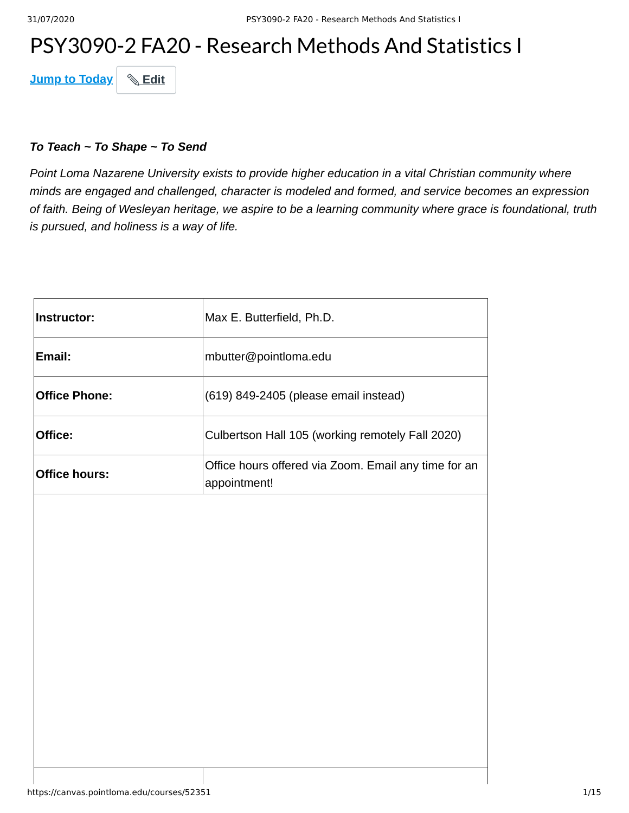# PSY3090-2 FA20 - Research Methods And Statistics I

**Jump to Today & Edit** 

#### *To Teach ~ To Shape ~ To Send*

*Point Loma Nazarene University exists to provide higher education in a vital Christian community where minds are engaged and challenged, character is modeled and formed, and service becomes an expression of faith. Being of Wesleyan heritage, we aspire to be a learning community where grace is foundational, truth is pursued, and holiness is a way of life.*

| Instructor:          | Max E. Butterfield, Ph.D.                                            |
|----------------------|----------------------------------------------------------------------|
| Email:               | mbutter@pointloma.edu                                                |
| <b>Office Phone:</b> | (619) 849-2405 (please email instead)                                |
| Office:              | Culbertson Hall 105 (working remotely Fall 2020)                     |
| <b>Office hours:</b> | Office hours offered via Zoom. Email any time for an<br>appointment! |
|                      |                                                                      |
|                      |                                                                      |
|                      |                                                                      |
|                      |                                                                      |
|                      |                                                                      |
|                      |                                                                      |
|                      |                                                                      |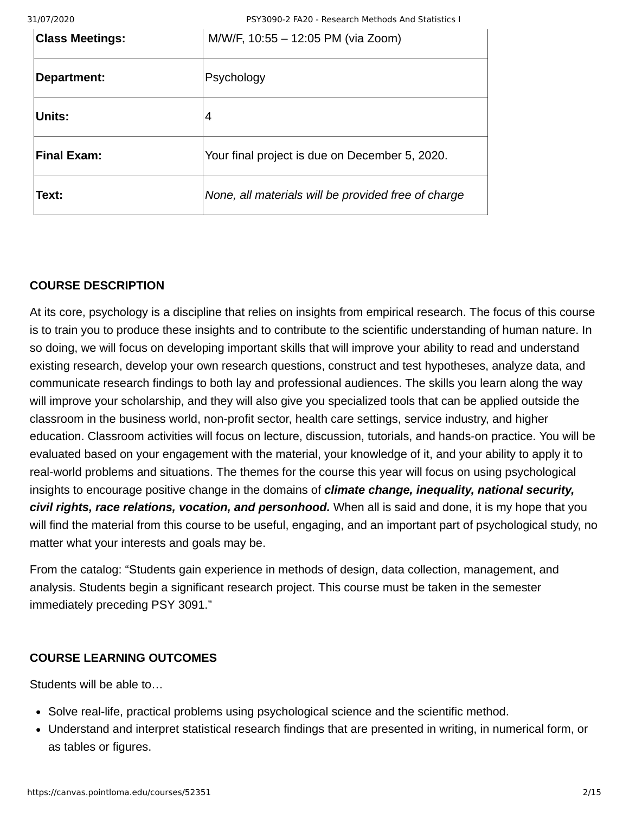31/07/2020 PSY3090-2 FA20 - Research Methods And Statistics I

| <b>Class Meetings:</b> | M/W/F, 10:55 - 12:05 PM (via Zoom)                  |
|------------------------|-----------------------------------------------------|
| Department:            | Psychology                                          |
| Units:                 | 14                                                  |
| <b>Final Exam:</b>     | Your final project is due on December 5, 2020.      |
| Text:                  | None, all materials will be provided free of charge |

## **COURSE DESCRIPTION**

At its core, psychology is a discipline that relies on insights from empirical research. The focus of this course is to train you to produce these insights and to contribute to the scientific understanding of human nature. In so doing, we will focus on developing important skills that will improve your ability to read and understand existing research, develop your own research questions, construct and test hypotheses, analyze data, and communicate research findings to both lay and professional audiences. The skills you learn along the way will improve your scholarship, and they will also give you specialized tools that can be applied outside the classroom in the business world, non-profit sector, health care settings, service industry, and higher education. Classroom activities will focus on lecture, discussion, tutorials, and hands-on practice. You will be evaluated based on your engagement with the material, your knowledge of it, and your ability to apply it to real-world problems and situations. The themes for the course this year will focus on using psychological insights to encourage positive change in the domains of *climate change, inequality, national security, civil rights, race relations, vocation, and personhood.* When all is said and done, it is my hope that you will find the material from this course to be useful, engaging, and an important part of psychological study, no matter what your interests and goals may be.

From the catalog: "Students gain experience in methods of design, data collection, management, and analysis. Students begin a significant research project. This course must be taken in the semester immediately preceding PSY 3091."

## **COURSE LEARNING OUTCOMES**

Students will be able to…

- Solve real-life, practical problems using psychological science and the scientific method.
- Understand and interpret statistical research findings that are presented in writing, in numerical form, or as tables or figures.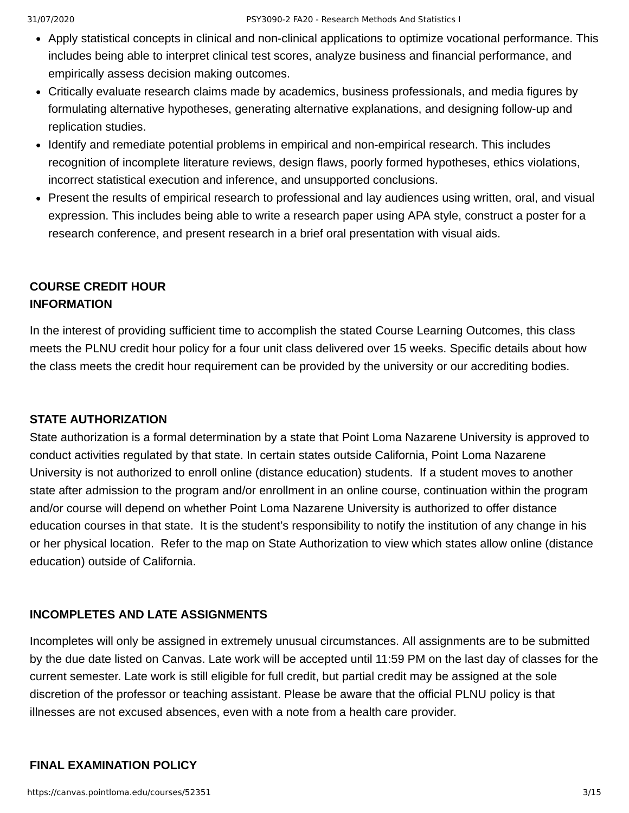- Apply statistical concepts in clinical and non-clinical applications to optimize vocational performance. This includes being able to interpret clinical test scores, analyze business and financial performance, and empirically assess decision making outcomes.
- Critically evaluate research claims made by academics, business professionals, and media figures by formulating alternative hypotheses, generating alternative explanations, and designing follow-up and replication studies.
- Identify and remediate potential problems in empirical and non-empirical research. This includes recognition of incomplete literature reviews, design flaws, poorly formed hypotheses, ethics violations, incorrect statistical execution and inference, and unsupported conclusions.
- Present the results of empirical research to professional and lay audiences using written, oral, and visual expression. This includes being able to write a research paper using APA style, construct a poster for a research conference, and present research in a brief oral presentation with visual aids.

## **COURSE CREDIT HOUR INFORMATION**

In the interest of providing sufficient time to accomplish the stated Course Learning Outcomes, this class meets the PLNU credit hour policy for a four unit class delivered over 15 weeks. Specific details about how the class meets the credit hour requirement can be provided by the university or our accrediting bodies.

## **STATE AUTHORIZATION**

State authorization is a formal determination by a state that Point Loma Nazarene University is approved to conduct activities regulated by that state. In certain states outside California, Point Loma Nazarene University is not authorized to enroll online (distance education) students. If a student moves to another state after admission to the program and/or enrollment in an online course, continuation within the program and/or course will depend on whether Point Loma Nazarene University is authorized to offer distance education courses in that state. It is the student's responsibility to notify the institution of any change in his or her physical location. Refer to the map on State Authorization to view which states allow online (distance education) outside of California.

## **INCOMPLETES AND LATE ASSIGNMENTS**

Incompletes will only be assigned in extremely unusual circumstances. All assignments are to be submitted by the due date listed on Canvas. Late work will be accepted until 11:59 PM on the last day of classes for the current semester. Late work is still eligible for full credit, but partial credit may be assigned at the sole discretion of the professor or teaching assistant. Please be aware that the official PLNU policy is that illnesses are not excused absences, even with a note from a health care provider.

## **FINAL EXAMINATION POLICY**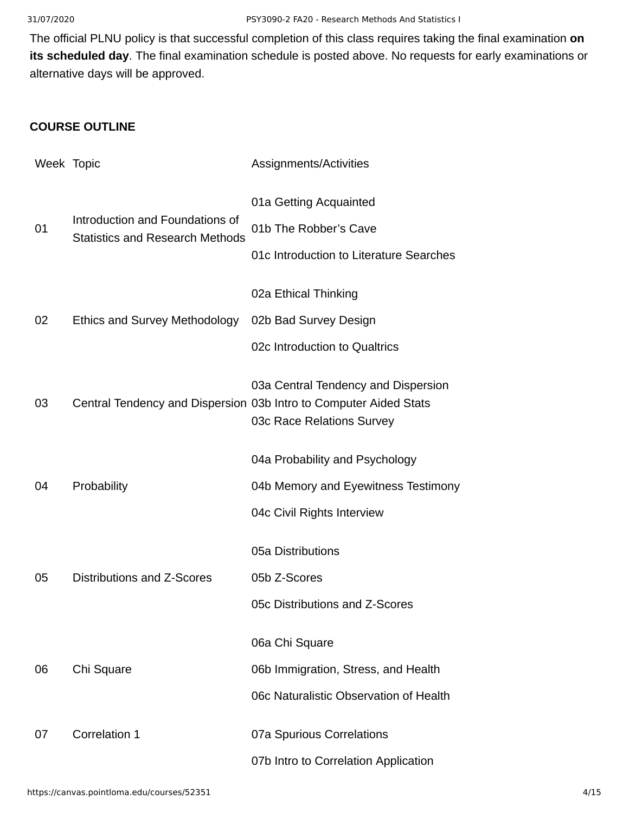The official PLNU policy is that successful completion of this class requires taking the final examination **on its scheduled day**. The final examination schedule is posted above. No requests for early examinations or alternative days will be approved.

## **COURSE OUTLINE**

| Week Topic |                                                                           | Assignments/Activities                                                                                                                |
|------------|---------------------------------------------------------------------------|---------------------------------------------------------------------------------------------------------------------------------------|
| 01         | Introduction and Foundations of<br><b>Statistics and Research Methods</b> | 01a Getting Acquainted<br>01b The Robber's Cave<br>01c Introduction to Literature Searches                                            |
| 02         | Ethics and Survey Methodology                                             | 02a Ethical Thinking<br>02b Bad Survey Design<br>02c Introduction to Qualtrics                                                        |
| 03         |                                                                           | 03a Central Tendency and Dispersion<br>Central Tendency and Dispersion 03b Intro to Computer Aided Stats<br>03c Race Relations Survey |
| 04         | Probability                                                               | 04a Probability and Psychology<br>04b Memory and Eyewitness Testimony<br>04c Civil Rights Interview                                   |
| 05         | Distributions and Z-Scores                                                | 05a Distributions<br>05b Z-Scores<br>05c Distributions and Z-Scores                                                                   |
| 06         | Chi Square                                                                | 06a Chi Square<br>06b Immigration, Stress, and Health<br>06c Naturalistic Observation of Health                                       |
| 07         | Correlation 1                                                             | 07a Spurious Correlations<br>07b Intro to Correlation Application                                                                     |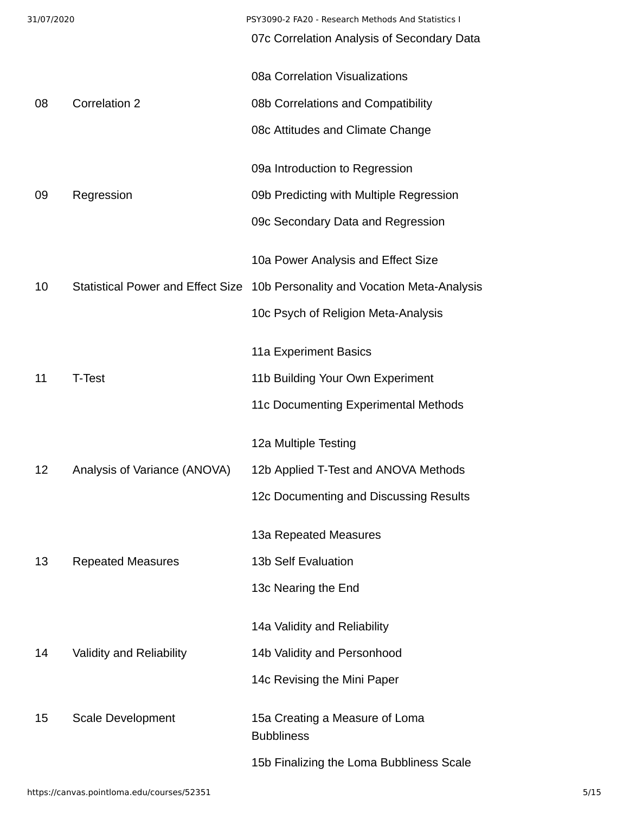| 31/07/2020 |                              | PSY3090-2 FA20 - Research Methods And Statistics I<br>07c Correlation Analysis of Secondary Data |
|------------|------------------------------|--------------------------------------------------------------------------------------------------|
|            |                              |                                                                                                  |
|            |                              | 08a Correlation Visualizations                                                                   |
| 08         | <b>Correlation 2</b>         | 08b Correlations and Compatibility                                                               |
|            |                              | 08c Attitudes and Climate Change                                                                 |
|            |                              | 09a Introduction to Regression                                                                   |
| 09         | Regression                   | 09b Predicting with Multiple Regression                                                          |
|            |                              | 09c Secondary Data and Regression                                                                |
|            |                              | 10a Power Analysis and Effect Size                                                               |
| 10         |                              | Statistical Power and Effect Size 10b Personality and Vocation Meta-Analysis                     |
|            |                              | 10c Psych of Religion Meta-Analysis                                                              |
|            |                              | 11a Experiment Basics                                                                            |
| 11         | T-Test                       | 11b Building Your Own Experiment                                                                 |
|            |                              | 11c Documenting Experimental Methods                                                             |
|            |                              | 12a Multiple Testing                                                                             |
| 12         | Analysis of Variance (ANOVA) | 12b Applied T-Test and ANOVA Methods                                                             |
|            |                              | 12c Documenting and Discussing Results                                                           |
|            |                              | 13a Repeated Measures                                                                            |
| 13         | <b>Repeated Measures</b>     | <b>13b Self Evaluation</b>                                                                       |
|            |                              | 13c Nearing the End                                                                              |
|            |                              |                                                                                                  |
|            |                              | 14a Validity and Reliability                                                                     |
| 14         | Validity and Reliability     | 14b Validity and Personhood                                                                      |
|            |                              | 14c Revising the Mini Paper                                                                      |
| 15         | Scale Development            | 15a Creating a Measure of Loma<br><b>Bubbliness</b>                                              |
|            |                              | 15b Finalizing the Loma Bubbliness Scale                                                         |
|            |                              |                                                                                                  |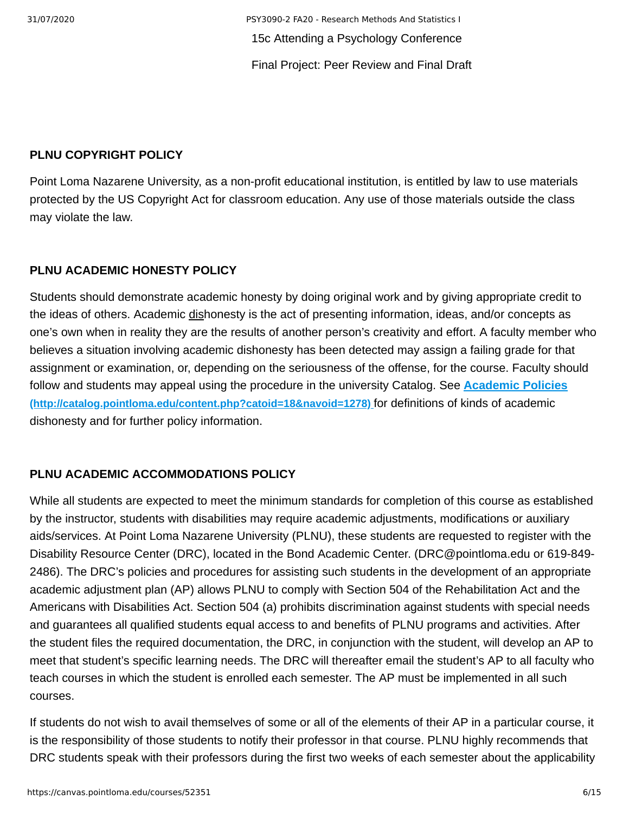31/07/2020 PSY3090-2 FA20 - Research Methods And Statistics I 15c Attending a Psychology Conference Final Project: Peer Review and Final Draft

#### **PLNU COPYRIGHT POLICY**

Point Loma Nazarene University, as a non-profit educational institution, is entitled by law to use materials protected by the US Copyright Act for classroom education. Any use of those materials outside the class may violate the law.

#### **PLNU ACADEMIC HONESTY POLICY**

Students should demonstrate academic honesty by doing original work and by giving appropriate credit to the ideas of others. Academic dishonesty is the act of presenting information, ideas, and/or concepts as one's own when in reality they are the results of another person's creativity and effort. A faculty member who believes a situation involving academic dishonesty has been detected may assign a failing grade for that assignment or examination, or, depending on the seriousness of the offense, for the course. Faculty should [follow and students may appeal using the procedure in the university Catalog. See](http://catalog.pointloma.edu/content.php?catoid=18&navoid=1278) **Academic Policies (http://catalog.pointloma.edu/content.php?catoid=18&navoid=1278)** for definitions of kinds of academic dishonesty and for further policy information.

### **PLNU ACADEMIC ACCOMMODATIONS POLICY**

While all students are expected to meet the minimum standards for completion of this course as established by the instructor, students with disabilities may require academic adjustments, modifications or auxiliary aids/services. At Point Loma Nazarene University (PLNU), these students are requested to register with the Disability Resource Center (DRC), located in the Bond Academic Center. (DRC@pointloma.edu or 619-849- 2486). The DRC's policies and procedures for assisting such students in the development of an appropriate academic adjustment plan (AP) allows PLNU to comply with Section 504 of the Rehabilitation Act and the Americans with Disabilities Act. Section 504 (a) prohibits discrimination against students with special needs and guarantees all qualified students equal access to and benefits of PLNU programs and activities. After the student files the required documentation, the DRC, in conjunction with the student, will develop an AP to meet that student's specific learning needs. The DRC will thereafter email the student's AP to all faculty who teach courses in which the student is enrolled each semester. The AP must be implemented in all such courses.

If students do not wish to avail themselves of some or all of the elements of their AP in a particular course, it is the responsibility of those students to notify their professor in that course. PLNU highly recommends that DRC students speak with their professors during the first two weeks of each semester about the applicability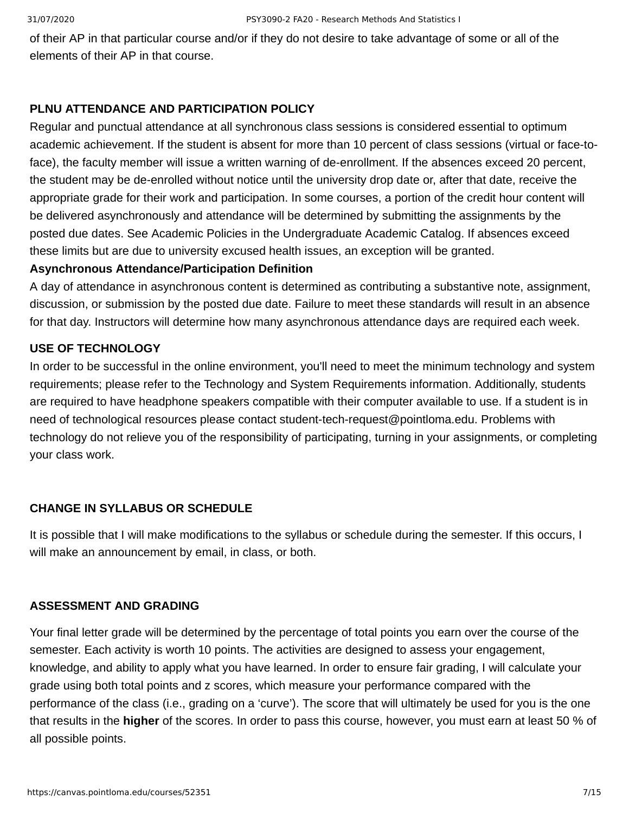of their AP in that particular course and/or if they do not desire to take advantage of some or all of the elements of their AP in that course.

## **PLNU ATTENDANCE AND PARTICIPATION POLICY**

Regular and punctual attendance at all synchronous class sessions is considered essential to optimum academic achievement. If the student is absent for more than 10 percent of class sessions (virtual or face-toface), the faculty member will issue a written warning of de-enrollment. If the absences exceed 20 percent, the student may be de-enrolled without notice until the university drop date or, after that date, receive the appropriate grade for their work and participation. In some courses, a portion of the credit hour content will be delivered asynchronously and attendance will be determined by submitting the assignments by the posted due dates. See Academic Policies in the Undergraduate Academic Catalog. If absences exceed these limits but are due to university excused health issues, an exception will be granted.

## **Asynchronous Attendance/Participation Definition**

A day of attendance in asynchronous content is determined as contributing a substantive note, assignment, discussion, or submission by the posted due date. Failure to meet these standards will result in an absence for that day. Instructors will determine how many asynchronous attendance days are required each week.

### **USE OF TECHNOLOGY**

In order to be successful in the online environment, you'll need to meet the minimum technology and system requirements; please refer to the Technology and System Requirements information. Additionally, students are required to have headphone speakers compatible with their computer available to use. If a student is in need of technological resources please contact student-tech-request@pointloma.edu. Problems with technology do not relieve you of the responsibility of participating, turning in your assignments, or completing your class work.

## **CHANGE IN SYLLABUS OR SCHEDULE**

It is possible that I will make modifications to the syllabus or schedule during the semester. If this occurs, I will make an announcement by email, in class, or both.

#### **ASSESSMENT AND GRADING**

Your final letter grade will be determined by the percentage of total points you earn over the course of the semester. Each activity is worth 10 points. The activities are designed to assess your engagement, knowledge, and ability to apply what you have learned. In order to ensure fair grading, I will calculate your grade using both total points and z scores, which measure your performance compared with the performance of the class (i.e., grading on a 'curve'). The score that will ultimately be used for you is the one that results in the **higher** of the scores. In order to pass this course, however, you must earn at least 50 % of all possible points.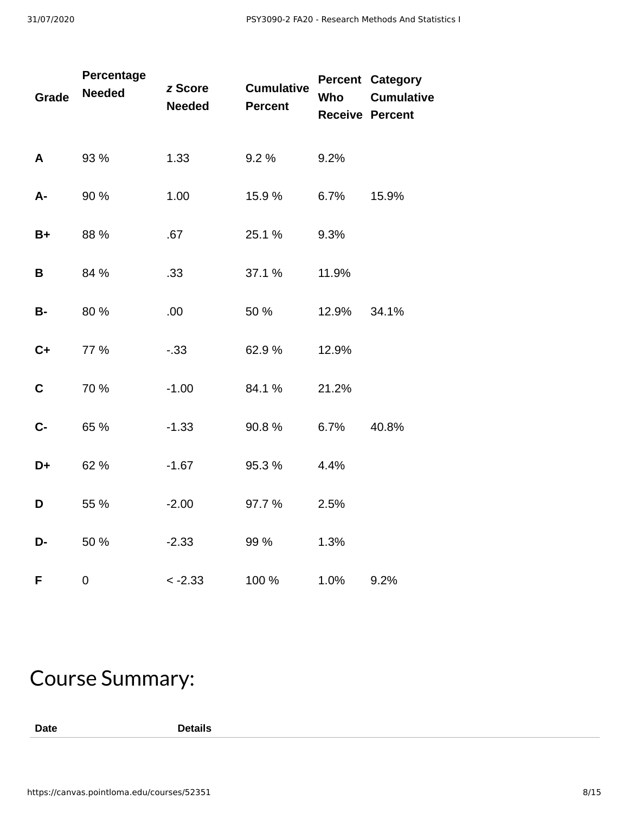| <b>Grade</b> | Percentage<br><b>Needed</b> | z Score<br><b>Needed</b> | <b>Cumulative</b><br><b>Percent</b> | Who   | <b>Percent Category</b><br><b>Cumulative</b><br><b>Receive Percent</b> |
|--------------|-----------------------------|--------------------------|-------------------------------------|-------|------------------------------------------------------------------------|
| A            | 93 %                        | 1.33                     | 9.2 %                               | 9.2%  |                                                                        |
| A-           | 90 %                        | 1.00                     | 15.9%                               | 6.7%  | 15.9%                                                                  |
| $B+$         | 88 %                        | .67                      | 25.1 %                              | 9.3%  |                                                                        |
| B            | 84 %                        | .33                      | 37.1 %                              | 11.9% |                                                                        |
| <b>B-</b>    | 80 %                        | .00.                     | 50 %                                | 12.9% | 34.1%                                                                  |
| $C+$         | 77 %                        | $-.33$                   | 62.9%                               | 12.9% |                                                                        |
| $\mathbf C$  | 70 %                        | $-1.00$                  | 84.1%                               | 21.2% |                                                                        |
| $C -$        | 65 %                        | $-1.33$                  | 90.8%                               | 6.7%  | 40.8%                                                                  |
| D+           | 62 %                        | $-1.67$                  | 95.3%                               | 4.4%  |                                                                        |
| D            | 55 %                        | $-2.00$                  | 97.7%                               | 2.5%  |                                                                        |
| D-           | 50 %                        | $-2.33$                  | 99 %                                | 1.3%  |                                                                        |
| F            | 0                           | $< -2.33$                | 100 %                               | 1.0%  | 9.2%                                                                   |

# Course Summary:

**Date Details**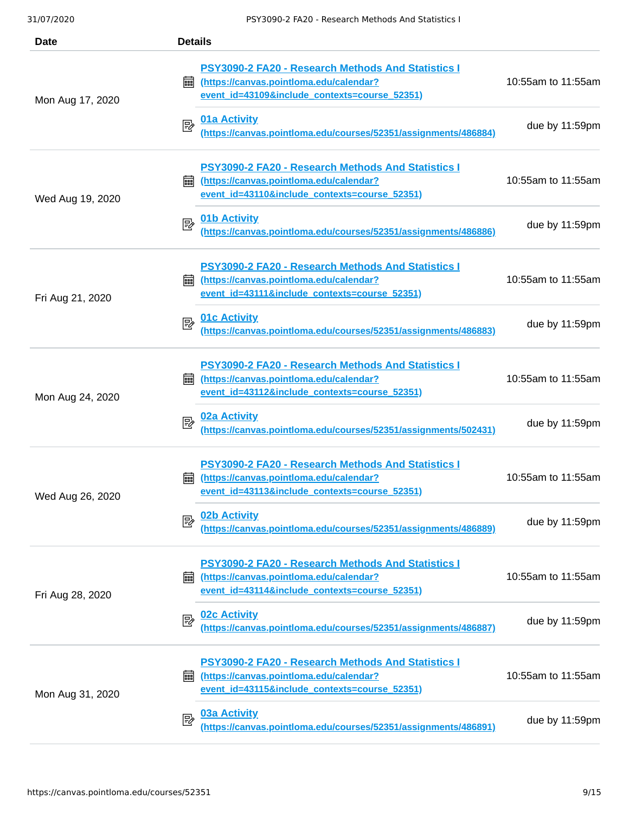| Date             | <b>Details</b>                                                                                                                                             |                    |
|------------------|------------------------------------------------------------------------------------------------------------------------------------------------------------|--------------------|
| Mon Aug 17, 2020 | <b>PSY3090-2 FA20 - Research Methods And Statistics I</b><br>(https://canvas.pointloma.edu/calendar?<br>翩<br>event id=43109&include contexts=course 52351) | 10:55am to 11:55am |
|                  | <b>01a Activity</b><br>國<br>(https://canvas.pointloma.edu/courses/52351/assignments/486884)                                                                | due by 11:59pm     |
| Wed Aug 19, 2020 | PSY3090-2 FA20 - Research Methods And Statistics I<br>(https://canvas.pointloma.edu/calendar?<br>繭<br>event id=43110&include contexts=course 52351)        | 10:55am to 11:55am |
|                  | 01b Activity<br>國<br>(https://canvas.pointloma.edu/courses/52351/assignments/486886)                                                                       | due by 11:59pm     |
| Fri Aug 21, 2020 | PSY3090-2 FA20 - Research Methods And Statistics I<br>(https://canvas.pointloma.edu/calendar?<br>繭<br>event id=43111&include contexts=course 52351)        | 10:55am to 11:55am |
|                  | <b>01c Activity</b><br>國<br>(https://canvas.pointloma.edu/courses/52351/assignments/486883)                                                                | due by 11:59pm     |
| Mon Aug 24, 2020 | PSY3090-2 FA20 - Research Methods And Statistics I<br>(https://canvas.pointloma.edu/calendar?<br>繭<br>event id=43112&include contexts=course 52351)        | 10:55am to 11:55am |
|                  | 02a Activity<br>郾<br>(https://canvas.pointloma.edu/courses/52351/assignments/502431)                                                                       | due by 11:59pm     |
| Wed Aug 26, 2020 | PSY3090-2 FA20 - Research Methods And Statistics I<br>(https://canvas.pointloma.edu/calendar?<br>匾<br>event id=43113&include contexts=course 52351)        | 10:55am to 11:55am |
|                  | 02b Activity<br>國<br>(https://canvas.pointloma.edu/courses/52351/assignments/486889)                                                                       | due by 11:59pm     |
| Fri Aug 28, 2020 | PSY3090-2 FA20 - Research Methods And Statistics I<br>(https://canvas.pointloma.edu/calendar?<br>翩<br>event id=43114&include contexts=course 52351)        | 10:55am to 11:55am |
|                  | <b>02c Activity</b><br>國<br>(https://canvas.pointloma.edu/courses/52351/assignments/486887)                                                                | due by 11:59pm     |
| Mon Aug 31, 2020 | PSY3090-2 FA20 - Research Methods And Statistics I<br>(https://canvas.pointloma.edu/calendar?<br>酾<br>event id=43115&include contexts=course 52351)        | 10:55am to 11:55am |
|                  | <b>03a Activity</b><br>昬<br>(https://canvas.pointloma.edu/courses/52351/assignments/486891)                                                                | due by 11:59pm     |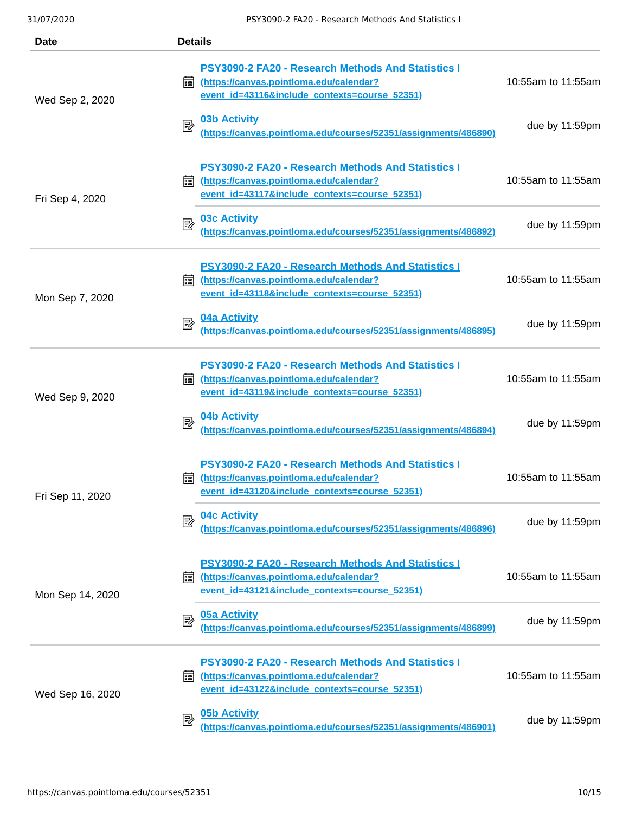| Date             | <b>Details</b>                                                                                                                                             |                    |
|------------------|------------------------------------------------------------------------------------------------------------------------------------------------------------|--------------------|
| Wed Sep 2, 2020  | PSY3090-2 FA20 - Research Methods And Statistics I<br>(https://canvas.pointloma.edu/calendar?<br>翩<br>event id=43116&include contexts=course 52351)        | 10:55am to 11:55am |
|                  | <b>03b Activity</b><br>國<br>(https://canvas.pointloma.edu/courses/52351/assignments/486890)                                                                | due by 11:59pm     |
| Fri Sep 4, 2020  | PSY3090-2 FA20 - Research Methods And Statistics I<br>(https://canvas.pointloma.edu/calendar?<br>繭<br>event id=43117&include contexts=course 52351)        | 10:55am to 11:55am |
|                  | <b>03c Activity</b><br>國<br>(https://canvas.pointloma.edu/courses/52351/assignments/486892)                                                                | due by 11:59pm     |
| Mon Sep 7, 2020  | <b>PSY3090-2 FA20 - Research Methods And Statistics I</b><br>(https://canvas.pointloma.edu/calendar?<br>酾<br>event id=43118&include contexts=course 52351) | 10:55am to 11:55am |
|                  | <b>04a Activity</b><br>國<br>(https://canvas.pointloma.edu/courses/52351/assignments/486895)                                                                | due by 11:59pm     |
| Wed Sep 9, 2020  | PSY3090-2 FA20 - Research Methods And Statistics I<br>(https://canvas.pointloma.edu/calendar?<br>翩<br>event id=43119&include contexts=course 52351)        | 10:55am to 11:55am |
|                  | 04b Activity<br>國<br>(https://canvas.pointloma.edu/courses/52351/assignments/486894)                                                                       | due by 11:59pm     |
| Fri Sep 11, 2020 | PSY3090-2 FA20 - Research Methods And Statistics I<br>(https://canvas.pointloma.edu/calendar?<br>酾<br>event id=43120&include contexts=course 52351)        | 10:55am to 11:55am |
|                  | <b>04c Activity</b><br>國<br><u>(https://canvas.pointloma.edu/courses/52351/assignments/486896)</u>                                                         | due by 11:59pm     |
| Mon Sep 14, 2020 | PSY3090-2 FA20 - Research Methods And Statistics I<br>(https://canvas.pointloma.edu/calendar?<br>匾<br>event id=43121&include contexts=course 52351)        | 10:55am to 11:55am |
|                  | <b>05a Activity</b><br>國<br>(https://canvas.pointloma.edu/courses/52351/assignments/486899)                                                                | due by 11:59pm     |
| Wed Sep 16, 2020 | PSY3090-2 FA20 - Research Methods And Statistics I<br>(https://canvas.pointloma.edu/calendar?<br>匾<br>event id=43122&include contexts=course 52351)        | 10:55am to 11:55am |
|                  | <b>05b Activity</b><br>國<br>(https://canvas.pointloma.edu/courses/52351/assignments/486901)                                                                | due by 11:59pm     |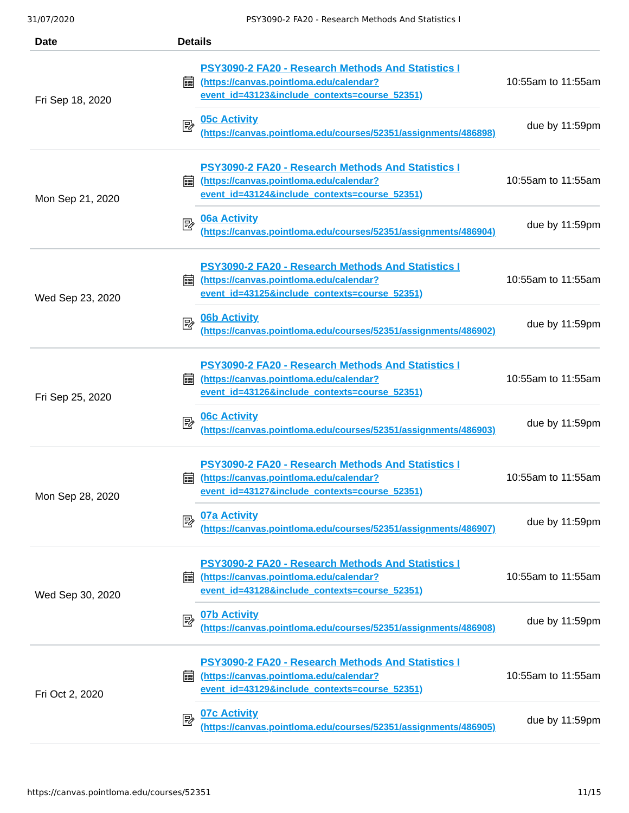| <b>Date</b>      | <b>Details</b>                                                                                                                                                                         |                                      |
|------------------|----------------------------------------------------------------------------------------------------------------------------------------------------------------------------------------|--------------------------------------|
| Fri Sep 18, 2020 | <b>PSY3090-2 FA20 - Research Methods And Statistics I</b><br>(https://canvas.pointloma.edu/calendar?<br>翩<br>event id=43123&include contexts=course 52351)<br><b>05c Activity</b><br>國 | 10:55am to 11:55am<br>due by 11:59pm |
|                  | (https://canvas.pointloma.edu/courses/52351/assignments/486898)                                                                                                                        |                                      |
| Mon Sep 21, 2020 | PSY3090-2 FA20 - Research Methods And Statistics I<br>翩<br>(https://canvas.pointloma.edu/calendar?<br>event id=43124&include contexts=course 52351)                                    | 10:55am to 11:55am                   |
|                  | <b>06a Activity</b><br>國<br>(https://canvas.pointloma.edu/courses/52351/assignments/486904)                                                                                            | due by 11:59pm                       |
| Wed Sep 23, 2020 | PSY3090-2 FA20 - Research Methods And Statistics I<br>(https://canvas.pointloma.edu/calendar?<br>匾<br>event id=43125&include contexts=course 52351)                                    | 10:55am to 11:55am                   |
|                  | <b>06b Activity</b><br>國<br>(https://canvas.pointloma.edu/courses/52351/assignments/486902)                                                                                            | due by 11:59pm                       |
| Fri Sep 25, 2020 | PSY3090-2 FA20 - Research Methods And Statistics I<br>(https://canvas.pointloma.edu/calendar?<br>繭<br>event id=43126&include contexts=course 52351)                                    | 10:55am to 11:55am                   |
|                  | <b>06c Activity</b><br>國<br>(https://canvas.pointloma.edu/courses/52351/assignments/486903)                                                                                            | due by 11:59pm                       |
| Mon Sep 28, 2020 | <b>PSY3090-2 FA20 - Research Methods And Statistics I</b><br>(https://canvas.pointloma.edu/calendar?<br>酾<br>event id=43127&include contexts=course 52351)                             | 10:55am to 11:55am                   |
|                  | 07a Activity<br>國<br>(https://canvas.pointloma.edu/courses/52351/assignments/486907)                                                                                                   | due by 11:59pm                       |
| Wed Sep 30, 2020 | PSY3090-2 FA20 - Research Methods And Statistics I<br>(https://canvas.pointloma.edu/calendar?<br>匾<br>event id=43128&include contexts=course 52351)                                    | 10:55am to 11:55am                   |
|                  | <b>07b Activity</b><br>國<br>(https://canvas.pointloma.edu/courses/52351/assignments/486908)                                                                                            | due by 11:59pm                       |
| Fri Oct 2, 2020  | PSY3090-2 FA20 - Research Methods And Statistics I<br>(https://canvas.pointloma.edu/calendar?<br>匾<br>event id=43129&include contexts=course 52351)                                    | 10:55am to 11:55am                   |
|                  | <b>07c Activity</b><br>國<br>(https://canvas.pointloma.edu/courses/52351/assignments/486905)                                                                                            | due by 11:59pm                       |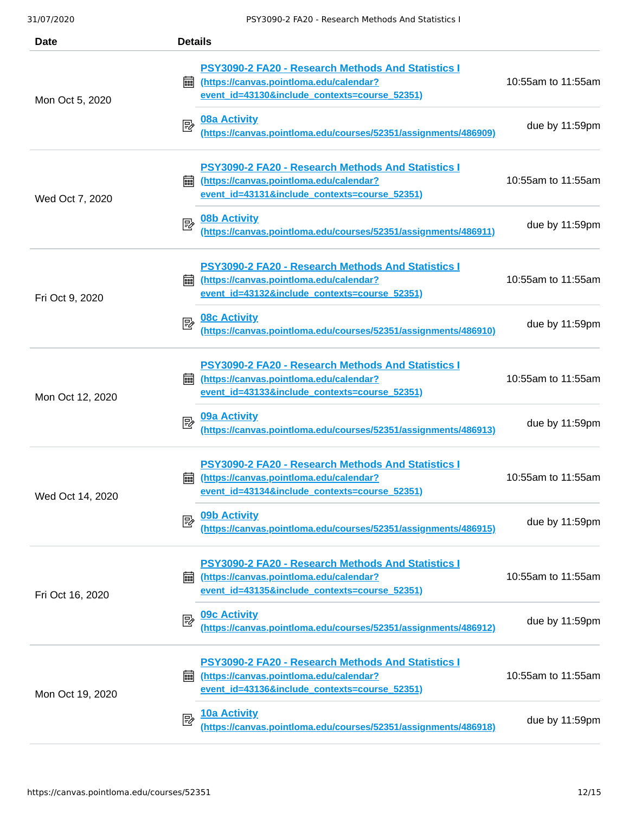| Date             | <b>Details</b>                                                                                                                                      |                    |
|------------------|-----------------------------------------------------------------------------------------------------------------------------------------------------|--------------------|
| Mon Oct 5, 2020  | PSY3090-2 FA20 - Research Methods And Statistics I<br>(https://canvas.pointloma.edu/calendar?<br>翩<br>event id=43130&include contexts=course 52351) | 10:55am to 11:55am |
|                  | <b>08a Activity</b><br>國<br>(https://canvas.pointloma.edu/courses/52351/assignments/486909)                                                         | due by 11:59pm     |
| Wed Oct 7, 2020  | PSY3090-2 FA20 - Research Methods And Statistics I<br>(https://canvas.pointloma.edu/calendar?<br>繭<br>event id=43131&include contexts=course 52351) | 10:55am to 11:55am |
|                  | <b>08b Activity</b><br>國<br>(https://canvas.pointloma.edu/courses/52351/assignments/486911)                                                         | due by 11:59pm     |
| Fri Oct 9, 2020  | PSY3090-2 FA20 - Research Methods And Statistics I<br>翩<br>(https://canvas.pointloma.edu/calendar?<br>event id=43132&include contexts=course 52351) | 10:55am to 11:55am |
|                  | <b>08c Activity</b><br>國<br>(https://canvas.pointloma.edu/courses/52351/assignments/486910)                                                         | due by 11:59pm     |
| Mon Oct 12, 2020 | PSY3090-2 FA20 - Research Methods And Statistics I<br>(https://canvas.pointloma.edu/calendar?<br>繭<br>event id=43133&include contexts=course 52351) | 10:55am to 11:55am |
|                  | 09a Activity<br>郾<br>(https://canvas.pointloma.edu/courses/52351/assignments/486913)                                                                | due by 11:59pm     |
| Wed Oct 14, 2020 | PSY3090-2 FA20 - Research Methods And Statistics I<br>(https://canvas.pointloma.edu/calendar?<br>酾<br>event id=43134&include contexts=course 52351) | 10:55am to 11:55am |
|                  | 09b Activity<br>國<br>(https://canvas.pointloma.edu/courses/52351/assignments/486915)                                                                | due by 11:59pm     |
| Fri Oct 16, 2020 | PSY3090-2 FA20 - Research Methods And Statistics I<br>(https://canvas.pointloma.edu/calendar?<br>繭<br>event id=43135&include contexts=course 52351) | 10:55am to 11:55am |
|                  | <b>09c Activity</b><br>國<br>(https://canvas.pointloma.edu/courses/52351/assignments/486912)                                                         | due by 11:59pm     |
| Mon Oct 19, 2020 | PSY3090-2 FA20 - Research Methods And Statistics I<br>(https://canvas.pointloma.edu/calendar?<br>繭<br>event id=43136&include contexts=course 52351) | 10:55am to 11:55am |
|                  | 10a Activity<br>國<br>(https://canvas.pointloma.edu/courses/52351/assignments/486918)                                                                | due by 11:59pm     |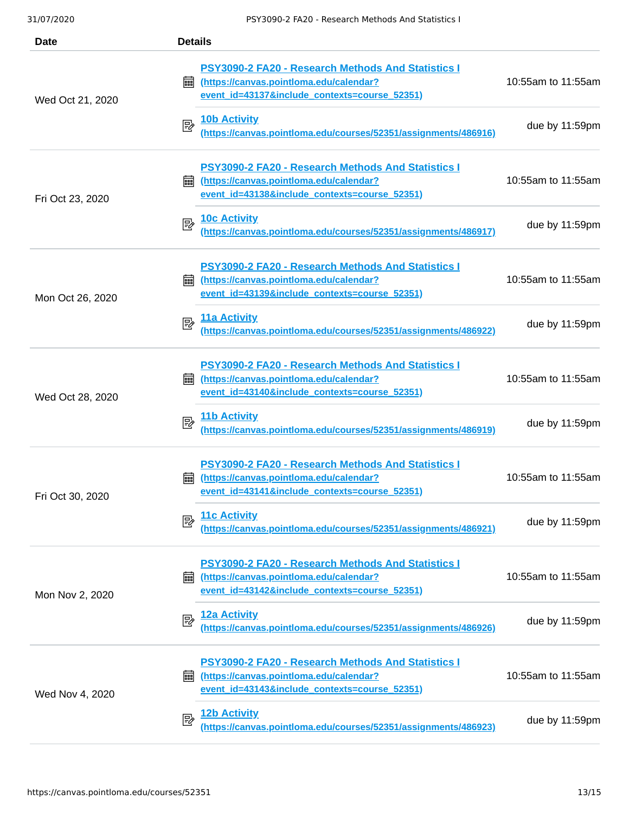| Date             | <b>Details</b>                                                                                                                                             |                    |
|------------------|------------------------------------------------------------------------------------------------------------------------------------------------------------|--------------------|
| Wed Oct 21, 2020 | PSY3090-2 FA20 - Research Methods And Statistics I<br>(https://canvas.pointloma.edu/calendar?<br>翩<br>event id=43137&include contexts=course 52351)        | 10:55am to 11:55am |
|                  | <b>10b Activity</b><br>國<br>(https://canvas.pointloma.edu/courses/52351/assignments/486916)                                                                | due by 11:59pm     |
| Fri Oct 23, 2020 | PSY3090-2 FA20 - Research Methods And Statistics I<br>(https://canvas.pointloma.edu/calendar?<br>繭<br>event id=43138&include contexts=course 52351)        | 10:55am to 11:55am |
|                  | <b>10c Activity</b><br>國<br>(https://canvas.pointloma.edu/courses/52351/assignments/486917)                                                                | due by 11:59pm     |
| Mon Oct 26, 2020 | PSY3090-2 FA20 - Research Methods And Statistics I<br>(https://canvas.pointloma.edu/calendar?<br>繭<br>event id=43139&include contexts=course 52351)        | 10:55am to 11:55am |
|                  | <b>11a Activity</b><br>國<br>(https://canvas.pointloma.edu/courses/52351/assignments/486922)                                                                | due by 11:59pm     |
| Wed Oct 28, 2020 | <b>PSY3090-2 FA20 - Research Methods And Statistics I</b><br>(https://canvas.pointloma.edu/calendar?<br>繭<br>event id=43140&include contexts=course 52351) | 10:55am to 11:55am |
|                  | 11b Activity<br>國<br>(https://canvas.pointloma.edu/courses/52351/assignments/486919)                                                                       | due by 11:59pm     |
| Fri Oct 30, 2020 | <b>PSY3090-2 FA20 - Research Methods And Statistics I</b><br>(https://canvas.pointloma.edu/calendar?<br>匾<br>event id=43141&include contexts=course 52351) | 10:55am to 11:55am |
|                  | 11c Activity<br>國<br><u>(https://canvas.pointloma.edu/courses/52351/assignments/486921)</u>                                                                | due by 11:59pm     |
| Mon Nov 2, 2020  | PSY3090-2 FA20 - Research Methods And Statistics I<br>(https://canvas.pointloma.edu/calendar?<br>繭<br>event id=43142&include contexts=course 52351)        | 10:55am to 11:55am |
|                  | 12a Activity<br>國<br><u>(https://canvas.pointloma.edu/courses/52351/assignments/48</u> 6926)                                                               | due by 11:59pm     |
| Wed Nov 4, 2020  | PSY3090-2 FA20 - Research Methods And Statistics I<br>(https://canvas.pointloma.edu/calendar?<br>匾<br>event id=43143&include contexts=course 52351)        | 10:55am to 11:55am |
|                  | <b>12b Activity</b><br>國<br>(https://canvas.pointloma.edu/courses/52351/assignments/486923)                                                                | due by 11:59pm     |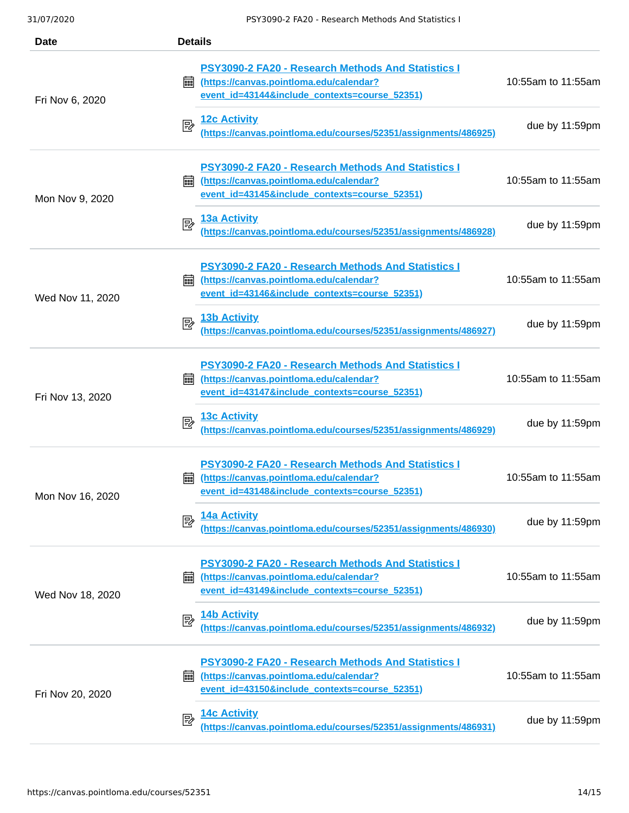| <b>Date</b>      | <b>Details</b>                                                                                                                                             |                    |
|------------------|------------------------------------------------------------------------------------------------------------------------------------------------------------|--------------------|
| Fri Nov 6, 2020  | PSY3090-2 FA20 - Research Methods And Statistics I<br>(https://canvas.pointloma.edu/calendar?<br>翩<br>event id=43144&include contexts=course 52351)        | 10:55am to 11:55am |
|                  | <b>12c Activity</b><br>國<br>(https://canvas.pointloma.edu/courses/52351/assignments/486925)                                                                | due by 11:59pm     |
| Mon Nov 9, 2020  | <b>PSY3090-2 FA20 - Research Methods And Statistics I</b><br>(https://canvas.pointloma.edu/calendar?<br>酾<br>event id=43145&include contexts=course 52351) | 10:55am to 11:55am |
|                  | <b>13a Activity</b><br>國<br>(https://canvas.pointloma.edu/courses/52351/assignments/486928)                                                                | due by 11:59pm     |
| Wed Nov 11, 2020 | PSY3090-2 FA20 - Research Methods And Statistics I<br>(https://canvas.pointloma.edu/calendar?<br>酾<br>event id=43146&include contexts=course 52351)        | 10:55am to 11:55am |
|                  | <b>13b Activity</b><br>郾<br>(https://canvas.pointloma.edu/courses/52351/assignments/486927)                                                                | due by 11:59pm     |
| Fri Nov 13, 2020 | PSY3090-2 FA20 - Research Methods And Statistics I<br>(https://canvas.pointloma.edu/calendar?<br>匾<br>event id=43147&include contexts=course 52351)        | 10:55am to 11:55am |
|                  | <b>13c Activity</b><br>國<br>(https://canvas.pointloma.edu/courses/52351/assignments/486929)                                                                | due by 11:59pm     |
| Mon Nov 16, 2020 | PSY3090-2 FA20 - Research Methods And Statistics I<br>(https://canvas.pointloma.edu/calendar?<br>匾<br>event id=43148&include contexts=course 52351)        | 10:55am to 11:55am |
|                  | 14a Activity<br>國<br>(https://canvas.pointloma.edu/courses/52351/assignments/486930)                                                                       | due by 11:59pm     |
| Wed Nov 18, 2020 | PSY3090-2 FA20 - Research Methods And Statistics I<br>(https://canvas.pointloma.edu/calendar?<br>翩<br>event id=43149&include contexts=course 52351)        | 10:55am to 11:55am |
|                  | 14b Activity<br>國<br>(https://canvas.pointloma.edu/courses/52351/assignments/486932)                                                                       | due by 11:59pm     |
| Fri Nov 20, 2020 | PSY3090-2 FA20 - Research Methods And Statistics I<br>(https://canvas.pointloma.edu/calendar?<br>翩<br>event id=43150&include contexts=course 52351)        | 10:55am to 11:55am |
|                  | <b>14c Activity</b><br>國<br>(https://canvas.pointloma.edu/courses/52351/assignments/486931)                                                                | due by 11:59pm     |